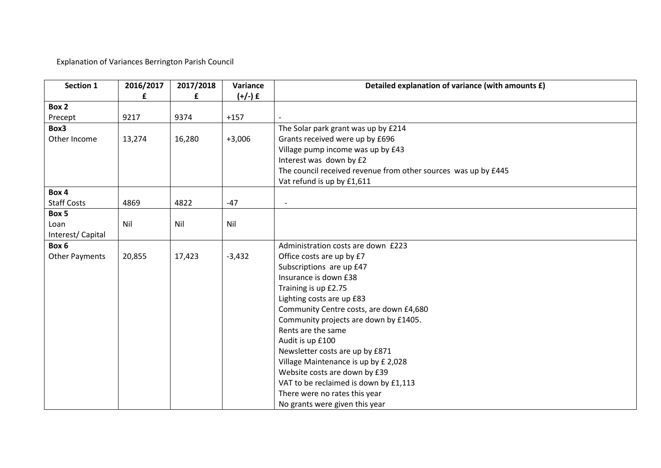Explanation of Variances Berrington Parish Council

| Section 1             | 2016/2017 | 2017/2018 | Variance  | Detailed explanation of variance (with amounts £)              |
|-----------------------|-----------|-----------|-----------|----------------------------------------------------------------|
|                       | £         | £         | $(+/-)$ £ |                                                                |
| Box 2                 |           |           |           |                                                                |
| Precept               | 9217      | 9374      | $+157$    |                                                                |
| Box3                  |           |           |           | The Solar park grant was up by £214                            |
| Other Income          | 13,274    | 16,280    | $+3,006$  | Grants received were up by £696                                |
|                       |           |           |           | Village pump income was up by £43                              |
|                       |           |           |           | Interest was down by £2                                        |
|                       |           |           |           | The council received revenue from other sources was up by £445 |
|                       |           |           |           | Vat refund is up by £1,611                                     |
| Box 4                 |           |           |           |                                                                |
| <b>Staff Costs</b>    | 4869      | 4822      | $-47$     |                                                                |
| Box 5                 |           |           |           |                                                                |
| Loan                  | Nil       | Nil       | Nil       |                                                                |
| Interest/Capital      |           |           |           |                                                                |
| Box 6                 |           |           |           | Administration costs are down £223                             |
| <b>Other Payments</b> | 20,855    | 17,423    | $-3,432$  | Office costs are up by £7                                      |
|                       |           |           |           | Subscriptions are up £47                                       |
|                       |           |           |           | Insurance is down £38                                          |
|                       |           |           |           | Training is up £2.75                                           |
|                       |           |           |           | Lighting costs are up £83                                      |
|                       |           |           |           | Community Centre costs, are down £4,680                        |
|                       |           |           |           | Community projects are down by £1405.                          |
|                       |           |           |           | Rents are the same                                             |
|                       |           |           |           | Audit is up £100                                               |
|                       |           |           |           | Newsletter costs are up by £871                                |
|                       |           |           |           | Village Maintenance is up by £ 2,028                           |
|                       |           |           |           | Website costs are down by £39                                  |
|                       |           |           |           | VAT to be reclaimed is down by £1,113                          |
|                       |           |           |           | There were no rates this year                                  |
|                       |           |           |           | No grants were given this year                                 |